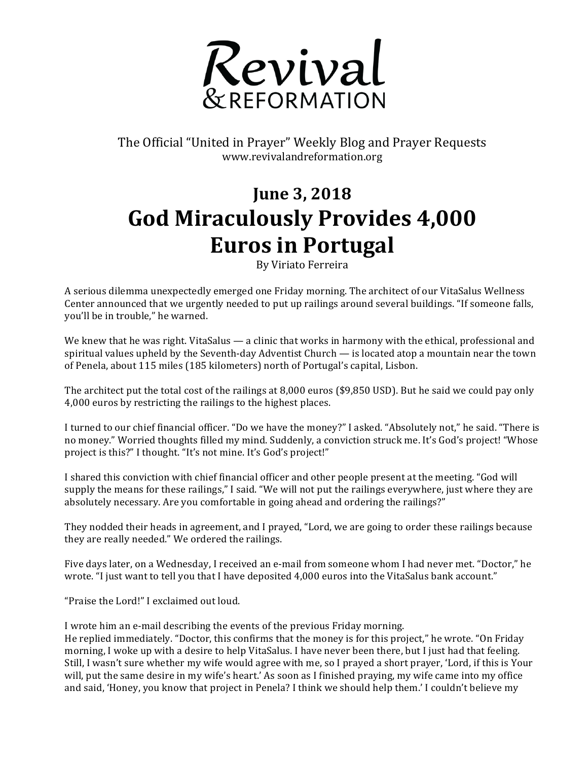

The Official "United in Prayer" Weekly Blog and Prayer Requests www.revivalandreformation.org

## **June 3, 2018** God Miraculously Provides 4,000 **Euros in Portugal**

By Viriato Ferreira

A serious dilemma unexpectedly emerged one Friday morning. The architect of our VitaSalus Wellness Center announced that we urgently needed to put up railings around several buildings. "If someone falls, you'll be in trouble," he warned.

We knew that he was right. VitaSalus — a clinic that works in harmony with the ethical, professional and spiritual values upheld by the Seventh-day Adventist Church  $-$  is located atop a mountain near the town of Penela, about 115 miles (185 kilometers) north of Portugal's capital, Lisbon.

The architect put the total cost of the railings at 8,000 euros (\$9,850 USD). But he said we could pay only 4,000 euros by restricting the railings to the highest places.

I turned to our chief financial officer. "Do we have the money?" I asked. "Absolutely not," he said. "There is no money." Worried thoughts filled my mind. Suddenly, a conviction struck me. It's God's project! "Whose project is this?" I thought. "It's not mine. It's God's project!"

I shared this conviction with chief financial officer and other people present at the meeting. "God will supply the means for these railings," I said. "We will not put the railings everywhere, just where they are absolutely necessary. Are you comfortable in going ahead and ordering the railings?"

They nodded their heads in agreement, and I prayed, "Lord, we are going to order these railings because they are really needed." We ordered the railings.

Five days later, on a Wednesday, I received an e-mail from someone whom I had never met. "Doctor," he wrote. "I just want to tell you that I have deposited 4,000 euros into the VitaSalus bank account."

"Praise the Lord!" I exclaimed out loud.

I wrote him an e-mail describing the events of the previous Friday morning. He replied immediately. "Doctor, this confirms that the money is for this project," he wrote. "On Friday morning, I woke up with a desire to help VitaSalus. I have never been there, but I just had that feeling. Still, I wasn't sure whether my wife would agree with me, so I prayed a short prayer, 'Lord, if this is Your will, put the same desire in my wife's heart.' As soon as I finished praying, my wife came into my office and said, 'Honey, you know that project in Penela? I think we should help them.' I couldn't believe my